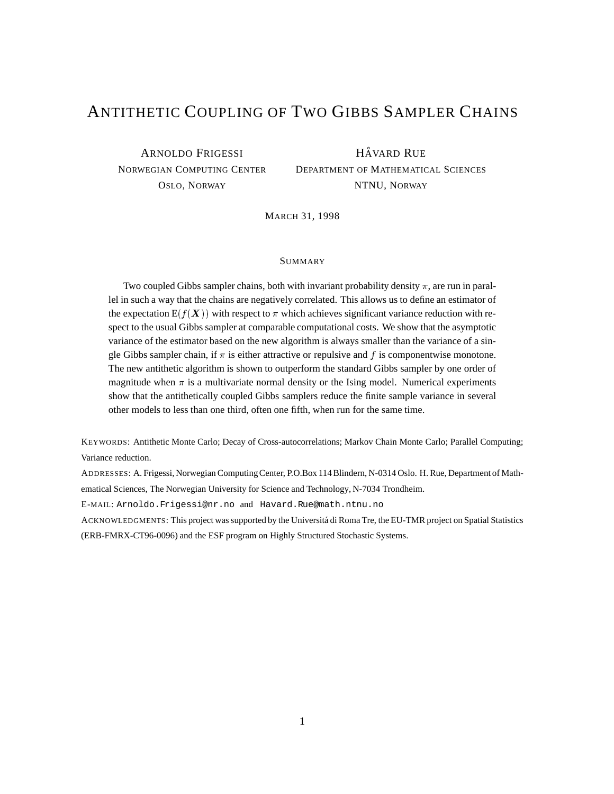# ANTITHETIC COUPLING OF TWO GIBBS SAMPLER CHAINS

ARNOLDO FRIGESSI NORWEGIAN COMPUTING CENTER OSLO, NORWAY

**HÅVARD RUE** DEPARTMENT OF MATHEMATICAL SCIENCES NTNU, NORWAY

MARCH 31, 1998

### SUMMARY

Two coupled Gibbs sampler chains, both with invariant probability density  $\pi$ , are run in parallel in such a way that the chains are negatively correlated. This allows us to define an estimator of the expectation  $E(f(\boldsymbol{X}))$  with respect to  $\pi$  which achieves significant variance reduction with respect to the usual Gibbs sampler at comparable computational costs. We show that the asymptotic variance of the estimator based on the new algorithm is always smaller than the variance of a single Gibbs sampler chain, if  $\pi$  is either attractive or repulsive and f is componentwise monotone. The new antithetic algorithm is shown to outperform the standard Gibbs sampler by one order of magnitude when  $\pi$  is a multivariate normal density or the Ising model. Numerical experiments show that the antithetically coupled Gibbs samplers reduce the finite sample variance in several other models to less than one third, often one fifth, when run for the same time.

KEYWORDS: Antithetic Monte Carlo; Decay of Cross-autocorrelations; Markov Chain Monte Carlo; Parallel Computing; Variance reduction.

ADDRESSES: A. Frigessi, Norwegian ComputingCenter, P.O.Box 114Blindern, N-0314 Oslo. H. Rue, Department of Mathematical Sciences, The Norwegian University for Science and Technology, N-7034 Trondheim.

E-MAIL: Arnoldo.Frigessi@nr.no and Havard.Rue@math.ntnu.no

ACKNOWLEDGMENTS: This project was supported by the Universitá di Roma Tre, the EU-TMR project on Spatial Statistics (ERB-FMRX-CT96-0096) and the ESF program on Highly Structured Stochastic Systems.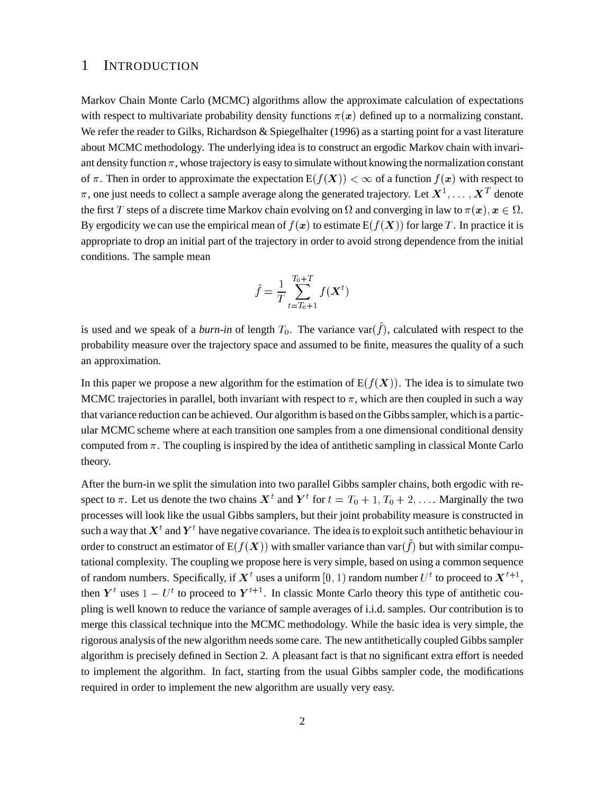### 1 INTRODUCTION

Markov Chain Monte Carlo (MCMC) algorithms allow the approximate calculation of expectations with respect to multivariate probability density functions  $\pi(x)$  defined up to a normalizing constant. We refer the reader to Gilks, Richardson & Spiegelhalter (1996) as a starting point for a vast literature about MCMC methodology. The underlying idea is to construct an ergodic Markov chain with invariant density function  $\pi$ , whose trajectory is easy to simulate without knowing the normalization constant of  $\pi$ . Then in order to approximate the expectation  $E(f(X)) < \infty$  of a function  $f(x)$  with respect to  $\pi$ , one just needs to collect a sample average along the generated trajectory. Let  $X^1,\ldots,X^T$  denote the first T steps of a discrete time Markov chain evolving on  $\Omega$  and converging in law to  $\pi(\bm{x}), \bm{x} \in \Omega$ . By ergodicity we can use the empirical mean of  $f(x)$  to estimate  $E(f(X))$  for large T. In practice it is appropriate to drop an initial part of the trajectory in order to avoid strong dependence from the initial conditions. The sample mean

$$
\hat{f} = \frac{1}{T} \sum_{t=T_0+1}^{T_0+T} f(\bm{X}^t)
$$

is used and we speak of a *burn-in* of length  $T_0$ . The variance var $(\hat{f})$ , calculated with respect to the probability measure over the trajectory space and assumed to be finite, measures the quality of a such an approximation.

In this paper we propose a new algorithm for the estimation of  $E(f(X))$ . The idea is to simulate two MCMC trajectories in parallel, both invariant with respect to  $\pi$ , which are then coupled in such a way that variance reduction can be achieved. Our algorithm is based on the Gibbs sampler, which is a particular MCMC scheme where at each transition one samples from a one dimensional conditional density computed from  $\pi$ . The coupling is inspired by the idea of antithetic sampling in classical Monte Carlo theory.

After the burn-in we split the simulation into two parallel Gibbs sampler chains, both ergodic with respect to  $\pi$ . Let us denote the two chains  $X^t$  and  $Y^t$  for  $t = T_0 + 1, T_0 + 2, \ldots$  Marginally the two processes will look like the usual Gibbs samplers, but their joint probability measure is constructed in such a way that  $X<sup>t</sup>$  and  $Y<sup>t</sup>$  have negative covariance. The idea is to exploit such antithetic behaviour in order to construct an estimator of  $E(f(X))$  with smaller variance than var $(\hat{f})$  but with similar computational complexity. The coupling we propose here is very simple, based on using a common sequence of random numbers. Specifically, if  $X^t$  uses a uniform  $[0, 1)$  random number  $U^t$  to proceed to  $X^{t+1}$ , then  $Y^t$  uses  $1 - U^t$  to proceed to  $Y^{t+1}$ . In classic Monte Carlo theory this type of antithetic coupling is well known to reduce the variance of sample averages of i.i.d. samples. Our contribution is to merge this classical technique into the MCMC methodology. While the basic idea is very simple, the rigorous analysis of the new algorithm needs some care. The new antithetically coupled Gibbs sampler algorithm is precisely defined in Section 2. A pleasant fact is that no significant extra effort is needed to implement the algorithm. In fact, starting from the usual Gibbs sampler code, the modifications required in order to implement the new algorithm are usually very easy.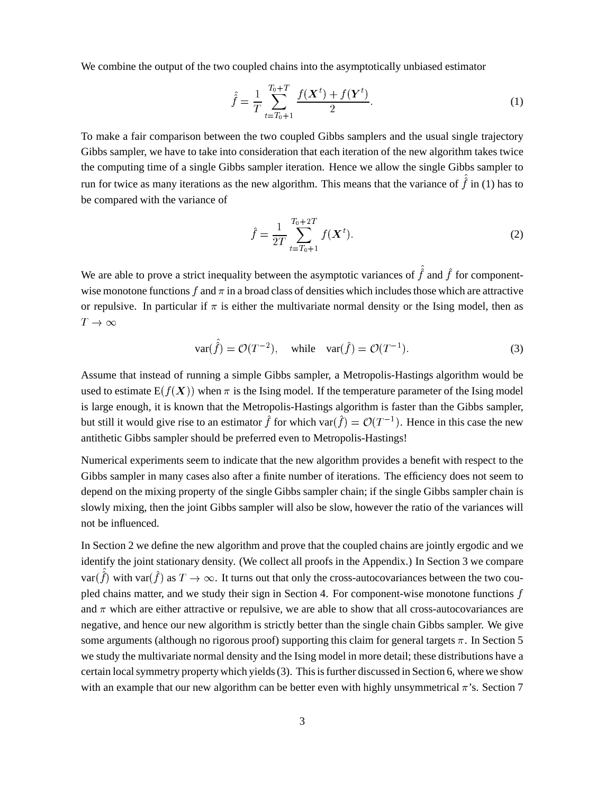We combine the output of the two coupled chains into the asymptotically unbiased estimator

$$
\hat{f} = \frac{1}{T} \sum_{t=T_0+1}^{T_0+T} \frac{f(\mathbf{X}^t) + f(\mathbf{Y}^t)}{2}.
$$
\n(1)

To make a fair comparison between the two coupled Gibbs samplers and the usual single trajectory Gibbs sampler, we have to take into consideration that each iteration of the new algorithm takes twice the computing time of a single Gibbs sampler iteration. Hence we allow the single Gibbs sampler to run for twice as many iterations as the new algorithm. This means that the variance of  $\hat{f}$  in (1) has to be compared with the variance of

$$
\hat{f} = \frac{1}{2T} \sum_{t=T_0+1}^{T_0+2T} f(\boldsymbol{X}^t).
$$
 (2)

We are able to prove a strict inequality between the asymptotic variances of  $\hat{f}$  and  $\hat{f}$  for componentwise monotone functions  $f$  and  $\pi$  in a broad class of densities which includes those which are attractive or repulsive. In particular if  $\pi$  is either the multivariate normal density or the Ising model, then as  $T\to\infty$ 

-

$$
var(\hat{f}) = \mathcal{O}(T^{-2}), \quad \text{while} \quad var(\hat{f}) = \mathcal{O}(T^{-1}). \tag{3}
$$

Assume that instead of running a simple Gibbs sampler, a Metropolis-Hastings algorithm would be used to estimate  $E(f(X))$  when  $\pi$  is the Ising model. If the temperature parameter of the Ising model is large enough, it is known that the Metropolis-Hastings algorithm is faster than the Gibbs sampler, but still it would give rise to an estimator  $\hat{f}$  for which var $(\hat{f}) = \mathcal{O}(T^{-1})$ . Hence in this case the new antithetic Gibbs sampler should be preferred even to Metropolis-Hastings!

Numerical experiments seem to indicate that the new algorithm provides a benefit with respect to the Gibbs sampler in many cases also after a finite number of iterations. The efficiency does not seem to depend on the mixing property of the single Gibbs sampler chain; if the single Gibbs sampler chain is slowly mixing, then the joint Gibbs sampler will also be slow, however the ratio of the variances will not be influenced.

In Section 2 we define the new algorithm and prove that the coupled chains are jointly ergodic and we identify the joint stationary density. (We collect all proofs in the Appendix.) In Section 3 we compare var $(\hat{f})$  with var $(\hat{f})$  as  $T \to \infty$ . It turns out that only the cross-autocovariances between the two coupled chains matter, and we study their sign in Section 4. For component-wise monotone functions  $f$ and  $\pi$  which are either attractive or repulsive, we are able to show that all cross-autocovariances are negative, and hence our new algorithm is strictly better than the single chain Gibbs sampler. We give some arguments (although no rigorous proof) supporting this claim for general targets  $\pi$ . In Section 5 we study the multivariate normal density and the Ising model in more detail; these distributions have a certain localsymmetry propertywhich yields(3). Thisisfurther discussed in Section 6, wherewe show with an example that our new algorithm can be better even with highly unsymmetrical  $\pi$ 's. Section 7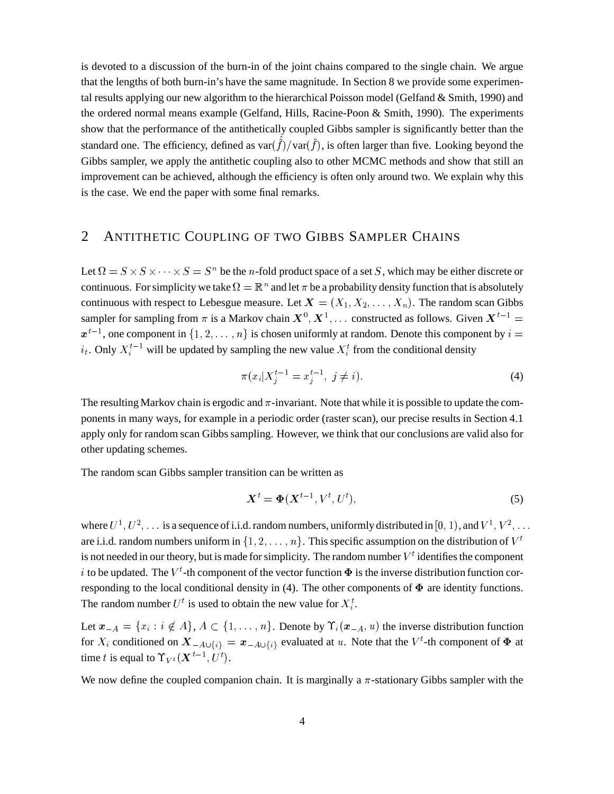is devoted to a discussion of the burn-in of the joint chains compared to the single chain. We argue that the lengths of both burn-in's have the same magnitude. In Section 8 we provide some experimental results applying our new algorithm to the hierarchical Poisson model (Gelfand & Smith, 1990) and the ordered normal means example (Gelfand, Hills, Racine-Poon & Smith, 1990). The experiments show that the performance of the antithetically coupled Gibbs sampler is significantly better than the standard one. The efficiency, defined as  $var(\hat{f})/var(\hat{f})$ , is often larger than five. Looking beyond the - Gibbs sampler, we apply the antithetic coupling also to other MCMC methods and show that still an improvement can be achieved, although the efficiency is often only around two. We explain why this is the case. We end the paper with some final remarks.

# 2 ANTITHETIC COUPLING OF TWO GIBBS SAMPLER CHAINS

Let  $\Omega = S \times S \times \cdots \times S = S^n$  be the *n*-fold product space of a set S, which may be either discrete or continuous. For simplicity we take  $\Omega = \mathbb{R}^n$  and let  $\pi$  be a probability density function that is absolutely continuous with respect to Lebesgue measure. Let  $\boldsymbol{X} = (X_1, X_2, \dots, X_n)$ . The random scan Gibbs sampler for sampling from  $\pi$  is a Markov chain  $X^0, X^1, \dots$  constructed as follows. Given  $X^{t-1} =$ -- , ---- - - $t^{-1}$ , one component in  $\{1, 2, \ldots, n\}$  is chosen uniformly at random. Denote this component by  $i =$  $i_t$ . Only  $X_i^{t-1}$  will be updated by sampling the new value  $X_i^t$  from the conditional density

$$
\pi(x_i|X_j^{t-1} = x_j^{t-1}, \ j \neq i). \tag{4}
$$

The resulting Markov chain is ergodic and  $\pi$ -invariant. Note that while it is possible to update the components in many ways, for example in a periodic order (raster scan), our precise results in Section 4.1 apply only for random scan Gibbs sampling. However, we think that our conclusions are valid also for other updating schemes.

The random scan Gibbs sampler transition can be written as

$$
\mathbf{X}^t = \mathbf{\Phi}(\mathbf{X}^{t-1}, V^t, U^t),\tag{5}
$$

where  $U^1, U^2, \ldots$  is a sequence of i.i.d. random numbers, uniformly distributed in  $[0, 1)$ , and  $V^1, V^2, \ldots$ are i.i.d. random numbers uniform in  $\{1, 2, \ldots, n\}$ . This specific assumption on the distribution of  $V^t$ is not needed in our theory, but is made for simplicity. The random number  $V^t$  identifies the component i to be updated. The  $V^t$ -th component of the vector function  $\boldsymbol{\Phi}$  is the inverse distribution function corresponding to the local conditional density in (4). The other components of  $\Phi$  are identity functions. The random number  $U^t$  is used to obtain the new value for  $X_i^t$ .

Let  $x_{-A} = \{x_i : i \notin A\}$ ,  $A \subset \{1, \ldots, n\}$ . Denote by  $\Upsilon_i(x_{-A}, u)$  the inverse distribution function for  $X_i$  conditioned on  $\bm{X}_{-A\cup\{i\}}=\bm{x}_{-A\cup\{i\}}$  evaluated at  $u$ . Note that the  $V^t$ -th component of  $\bm{\Phi}$  at time t is equal to  $\Upsilon_{V^t}(\boldsymbol{X}^{t-1}, U^t)$ .

We now define the coupled companion chain. It is marginally a  $\pi$ -stationary Gibbs sampler with the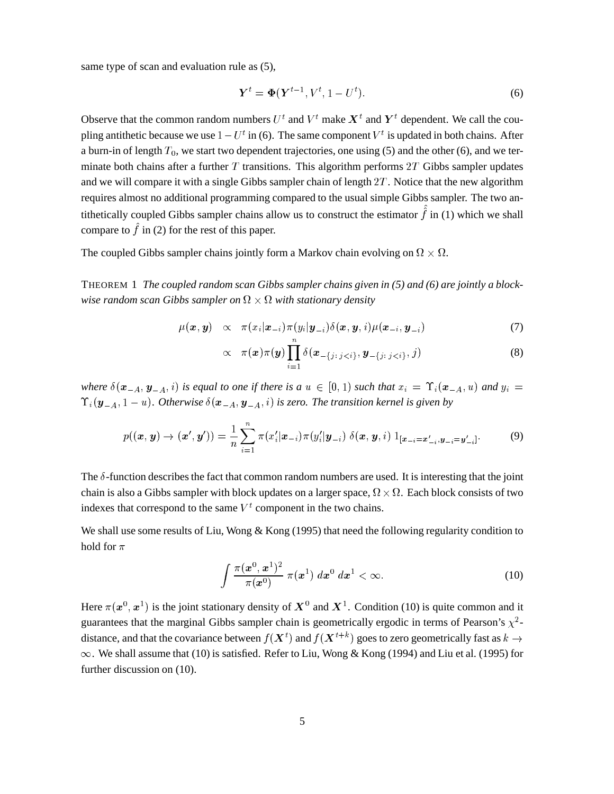same type of scan and evaluation rule as (5),

$$
\boldsymbol{Y}^t = \boldsymbol{\Phi}(\boldsymbol{Y}^{t-1}, V^t, 1 - U^t). \tag{6}
$$

Observe that the common random numbers  $U^t$  and  $V^t$  make  $X^t$  and  $Y^t$  dependent. We call the coupling antithetic because we use  $1-U^t$  in (6). The same component  $V^t$  is updated in both chains. After a burn-in of length  $T_0$ , we start two dependent trajectories, one using (5) and the other (6), and we terminate both chains after a further  $T$  transitions. This algorithm performs  $2T$  Gibbs sampler updates and we will compare it with a single Gibbs sampler chain of length  $2T$ . Notice that the new algorithm requires almost no additional programming compared to the usual simple Gibbs sampler. The two antithetically coupled Gibbs sampler chains allow us to construct the estimator  $\hat{f}$  in (1) which we shall compare to  $\hat{f}$  in (2) for the rest of this paper.

The coupled Gibbs sampler chains jointly form a Markov chain evolving on  $\Omega \times \Omega$ .

THEOREM 1 *The coupled random scan Gibbs sampler chains given in (5) and (6) are jointly a blockwise random scan Gibbs sampler on*  $\Omega \times \Omega$  *with stationary density* 

$$
\mu(\boldsymbol{x}, \boldsymbol{y}) \propto \pi(x_i | \boldsymbol{x}_{-i}) \pi(y_i | \boldsymbol{y}_{-i}) \delta(\boldsymbol{x}, \boldsymbol{y}, i) \mu(\boldsymbol{x}_{-i}, \boldsymbol{y}_{-i}) \tag{7}
$$

$$
\propto \quad \pi(\boldsymbol{x})\pi(\boldsymbol{y})\prod_{i=1}^n \delta(\boldsymbol{x}_{-\{j:\,j
$$

where  $\delta(\mathbf{x}_{-A}, \mathbf{y}_{-A}, i)$  is equal to one if there is a  $u \in [0, 1)$  such that  $x_i = \Upsilon_i(\mathbf{x}_{-A}, u)$  and  $y_i =$  $\Upsilon_i(\bm{y}_{-A}, 1-u)$ . Otherwise  $\delta(\bm{x}_{-A}, \bm{y}_{-A}, i)$  is zero. The transition kernel is given by

$$
p((\boldsymbol{x},\boldsymbol{y}) \to (\boldsymbol{x}',\boldsymbol{y}')) = \frac{1}{n} \sum_{i=1}^{n} \pi(x'_i | \boldsymbol{x}_{-i}) \pi(y'_i | \boldsymbol{y}_{-i}) \ \delta(\boldsymbol{x},\boldsymbol{y},i) \ 1_{[\boldsymbol{x}_{-i} = \boldsymbol{x}'_{-i}, \boldsymbol{y}_{-i} = \boldsymbol{y}'_{-i}]}.
$$
 (9)

The  $\delta$ -function describes the fact that common random numbers are used. It is interesting that the joint chain is also a Gibbs sampler with block updates on a larger space,  $\Omega \times \Omega$ . Each block consists of two indexes that correspond to the same  $V^t$  component in the two chains.

We shall use some results of Liu, Wong & Kong (1995) that need the following regularity condition to hold for  $\pi$ 

$$
\int \frac{\pi(\boldsymbol{x}^0, \boldsymbol{x}^1)^2}{\pi(\boldsymbol{x}^0)} \pi(\boldsymbol{x}^1) \; d\boldsymbol{x}^0 \; d\boldsymbol{x}^1 < \infty. \tag{10}
$$

Here  $\pi(x^0, x^1)$  is the joint stationary density of  $X^0$  and  $X^1$ . Condition (10) is quite common and it guarantees that the marginal Gibbs sampler chain is geometrically ergodic in terms of Pearson's  $\chi^2$ distance, and that the covariance between  $f(\bm{X}^t)$  and  $f(\bm{X}^{t+k})$  goes to zero geometrically fast as  $k \to$  $\infty$ . We shall assume that (10) is satisfied. Refer to Liu, Wong & Kong (1994) and Liu et al. (1995) for further discussion on (10).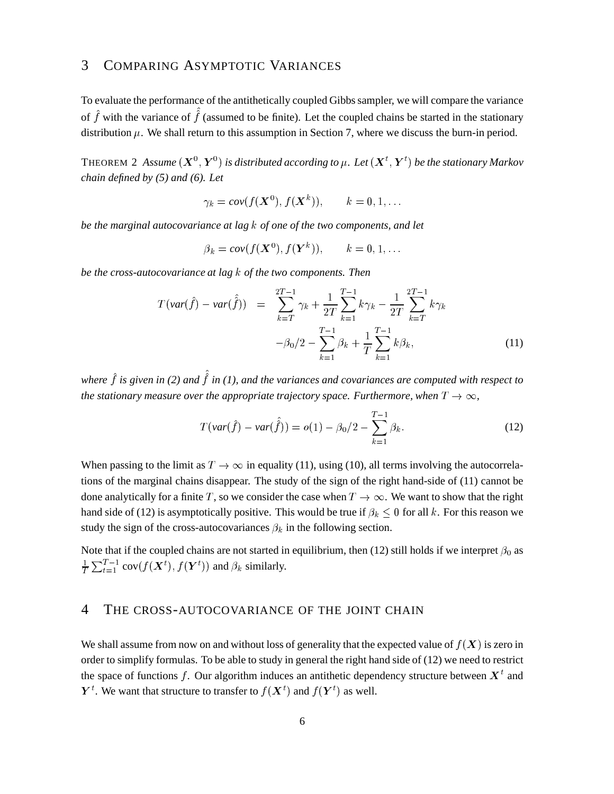### 3 COMPARING ASYMPTOTIC VARIANCES

To evaluate the performance of the antithetically coupled Gibbssampler, we will compare the variance of  $\hat{f}$  with the variance of  $\hat{f}$  (assumed to be finite). Let the coupled chains be started in the stationary distribution  $\mu$ . We shall return to this assumption in Section 7, where we discuss the burn-in period.

THEOREM 2 Assume  $(\bm{X}^0, \bm{Y}^0)$  is distributed according to  $\mu$ . Let  $(\bm{X}^t, \bm{Y}^t)$  be the station V= <sup>5</sup> *be the stationary Markov chain defined by (5) and (6). Let*

$$
\gamma_k = cov(f(\mathbf{X}^0), f(\mathbf{X}^k)), \qquad k = 0, 1, \ldots
$$

*be the marginal autocovariance at lag* ° *of one of the two components, and let*

$$
\beta_k = cov(f(\mathbf{X}^0), f(\mathbf{Y}^k)), \qquad k = 0, 1, \dots
$$

*be the cross-autocovariance at lag* ° *of the two components. Then*

$$
T(\text{var}(\hat{f}) - \text{var}(\hat{\hat{f}})) = \sum_{k=T}^{2T-1} \gamma_k + \frac{1}{2T} \sum_{k=1}^{T-1} k \gamma_k - \frac{1}{2T} \sum_{k=T}^{2T-1} k \gamma_k
$$

$$
-\beta_0/2 - \sum_{k=1}^{T-1} \beta_k + \frac{1}{T} \sum_{k=1}^{T-1} k \beta_k,
$$
(11)

where  $\hat{f}$  is given in (2) and  $\hat{f}$  in (1), and the variances and covariances are computed with respect to *the stationary measure over the appropriate trajectory space. Furthermore, when*  $T \rightarrow \infty$ *,* 

$$
T(var(\hat{f}) - var(\hat{\hat{f}})) = o(1) - \beta_0/2 - \sum_{k=1}^{T-1} \beta_k.
$$
 (12)

When passing to the limit as  $T \to \infty$  in equality (11), using (10), all terms involving the autocorrelations of the marginal chains disappear. The study of the sign of the right hand-side of (11) cannot be done analytically for a finite T, so we consider the case when  $T \to \infty$ . We want to show that the right hand side of (12) is asymptotically positive. This would be true if  $\beta_k \leq 0$  for all k. For this reason we study the sign of the cross-autocovariances  $\beta_k$  in the following section.

Note that if the coupled chains are not started in equilibrium, then (12) still holds if we interpret  $\beta_0$  as  $\frac{1}{T} \sum_{t=1}^{T-1} cov(f(\boldsymbol{X}^t), f(\boldsymbol{Y}^t))$  and  $\beta_k$  si  $(1 + 1)$  (  $(1 + 1)$  )  $(1 + 1)$  (  $(1 + 1)$  )  $(1 + 1)$  (  $(1 + 1)$  )  $(1 + 1)$  (  $(1 + 1)$  )  $(1 + 1)$  $(t)$ ) and  $\beta_k$  similarly.

### 4 THE CROSS-AUTOCOVARIANCE OF THE JOINT CHAIN

We shall assume from now on and without loss of generality that the expected value of  $f(X)$  is zero in order to simplify formulas. To be able to study in general the right hand side of (12) we need to restrict the space of functions f. Our algorithm induces an antithetic dependency structure between  $X<sup>t</sup>$  and <sup>t</sup>. We want that structure to transfer to  $f(\boldsymbol{X}^t)$  and  $f(\boldsymbol{Y}^t)$  as well.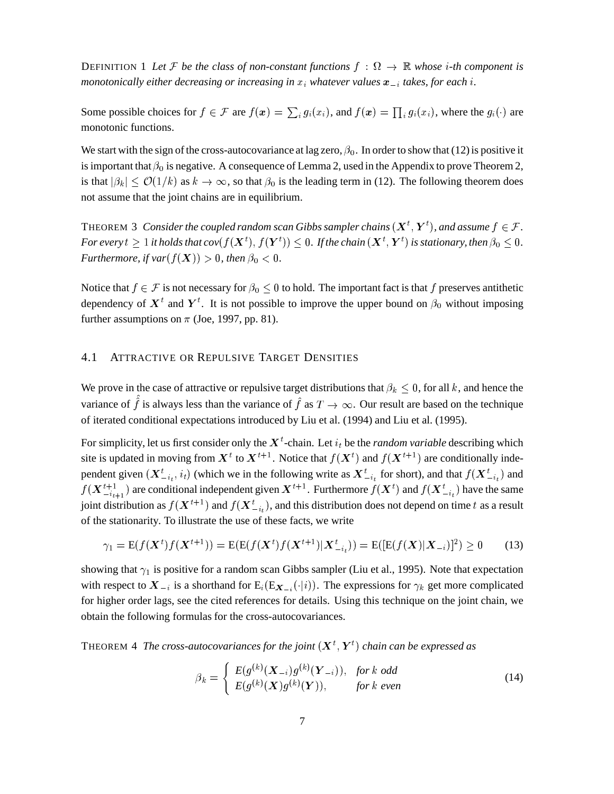DEFINITION 1 Let F be the class of non-constant functions  $f : \Omega \to \mathbb{R}$  whose *i*-th component is *monotonically either decreasing or increasing in*  $x_i$  *whatever values*  $\boldsymbol{x}_{-i}$  *takes, for each*  $i$ *.* 

Some possible choices for  $f \in \mathcal{F}$  are  $f(x) = \sum_i g_i(x_i)$ , and  $f(x) = \prod_i g_i(x_i)$ , where the  $g_i(\cdot)$  are monotonic functions.

We start with the sign of the cross-autocovariance at lag zero,  $\beta_0$ . In order to show that (12) is positive it is important that  $\beta_0$  is negative. A consequence of Lemma 2, used in the Appendix to prove Theorem 2, is that  $|\beta_k| \leq \mathcal{O}(1/k)$  as  $k \to \infty$ , so that  $\beta_0$  is the leading term in (12). The following theorem does not assume that the joint chains are in equilibrium.

THEOREM 3 *Consider the coupled random scan Gibbs sampler chains*  $(\boldsymbol{X}^t, \boldsymbol{Y}^t)$ *, and assume*  $\boldsymbol{\delta}$ V=  $f^{(t)}$ , and assume  $f \in \mathcal{F}$ . For every  $t \geq 1$  it holds that  $cov(f(\boldsymbol{X}^t),f(\boldsymbol{Y}^t)) \leq 0$ . If th () =  $\sim$  500  $\sim$  500  $\sim$  500  $\sim$  $D(x) \leq 0$ . If the chain  $(X^t, Y^t)$  is stationary, (=  $f(t)$  is stationary, then  $\beta_0 \leq 0$ . *Furthermore, if*  $var(f(X)) > 0$ *, then*  $\beta_0 < 0$ .

Notice that  $f \in \mathcal{F}$  is not necessary for  $\beta_0 \leq 0$  to hold. The important fact is that f preserves antithetic dependency of  $X^t$  and  $Y^t$ . It is not possible to improve the upper bound on  $\beta_0$  without imposing further assumptions on  $\pi$  (Joe, 1997, pp. 81).

### 4.1 ATTRACTIVE OR REPULSIVE TARGET DENSITIES

We prove in the case of attractive or repulsive target distributions that  $\beta_k \leq 0$ , for all k, and hence the variance of  $\hat{f}$  is always less than the variance of  $\hat{f}$  as  $T \to \infty$ . Our result are based on the technique of iterated conditional expectations introduced by Liu et al. (1994) and Liu et al. (1995).

For simplicity, let us first consider only the  $X<sup>t</sup>$ -chain. Let  $i<sub>t</sub>$  be the *random variable* describing which site is updated in moving from  $X^t$  to  $X^{t+1}$ . Notice that  $f(X^t)$  and  $f(X^{t+1})$  are conditionally independent given  $(X_{-i_t}^t, i_t)$  (which we in the following write as  $X_{-i_t}^t$  for short), and that  $f(X_{-i_t}^t)$  and s and state the state of the state of the state of the state of the state of the state of the state of the state of the state of the state of the state of the state of the state of the state of the state of the state of th  $f(X_{-i_{t+1}}^{t+1})$  are conditional independent given  $X^{t+1}$ . Furthermore  $f(X^t)$  and  $f(X_{-i_t}^t)$  have the same joint distribution as  $f(\bm{X}^{t+1})$  and  $f(\bm{X}_{-i_t}^{t})$ , and this distribution does not depend on time  $t$  as a result of the stationarity. To illustrate the use of these facts, we write

$$
\gamma_1 = \mathbf{E}(f(\mathbf{X}^t)f(\mathbf{X}^{t+1})) = \mathbf{E}(\mathbf{E}(f(\mathbf{X}^t)f(\mathbf{X}^{t+1})|\mathbf{X}_{-i_t}^t)) = \mathbf{E}([\mathbf{E}(f(\mathbf{X})|\mathbf{X}_{-i})]^2) \ge 0
$$
 (13)

showing that  $\gamma_1$  is positive for a random scan Gibbs sampler (Liu et al., 1995). Note that expectation with respect to  $X_{-i}$  is a shorthand for  $E_i(E_{\boldsymbol{X}_{-i}}(\cdot|i))$ . The expressions for  $\gamma_k$  get more complicated for higher order lags, see the cited references for details. Using this technique on the joint chain, we obtain the following formulas for the cross-autocovariances.

THEOREM 4 The cross-autocovariances for the joint  $(X^t, Y^t)$  chain can be (= <sup>5</sup> *chain can be expressed as*

$$
\beta_k = \begin{cases} E(g^{(k)}(\mathbf{X}_{-i})g^{(k)}(\mathbf{Y}_{-i})), & \text{for } k \text{ odd} \\ E(g^{(k)}(\mathbf{X})g^{(k)}(\mathbf{Y})), & \text{for } k \text{ even} \end{cases}
$$
(14)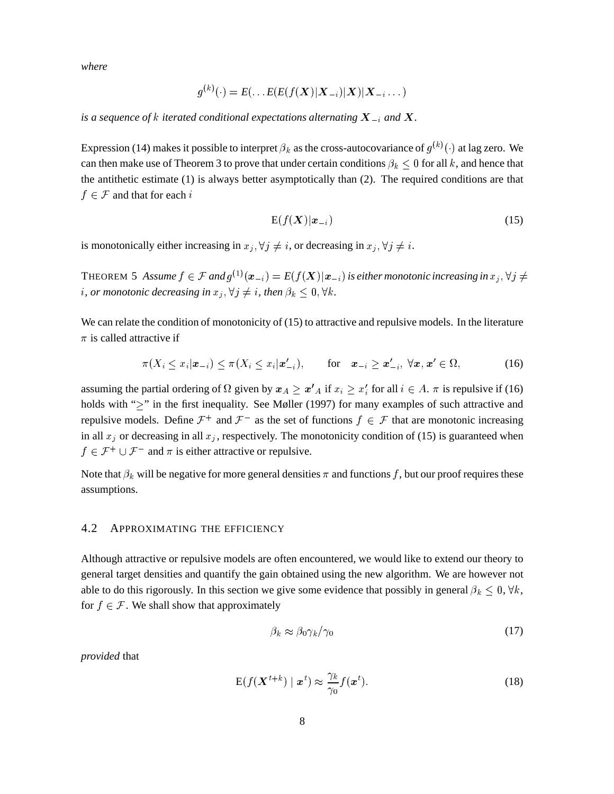where

$$
g^{(k)}(\cdot)=E(\ldots E(E(f(\boldsymbol{X})|\boldsymbol{X}_{-i})|\boldsymbol{X})|\boldsymbol{X}_{-i}\ldots)
$$

is a sequence of k iterated conditional expectations alternating  $X_{-i}$  and X.

Expression (14) makes it possible to interpret  $\beta_k$  as the cross-autocovariance of  $g^{(k)}(\cdot)$  at lag zero. We can then make use of Theorem 3 to prove that under certain conditions  $\beta_k \leq 0$  for all k, and hence that the antithetic estimate  $(1)$  is always better asymptotically than  $(2)$ . The required conditions are that  $f \in \mathcal{F}$  and that for each i

$$
E(f(X)|\boldsymbol{x}_{-i})\tag{15}
$$

is monotonically either increasing in  $x_j, \forall j \neq i$ , or decreasing in  $x_j, \forall j \neq i$ .

THEOREM 5 Assume  $f \in \mathcal{F}$  and  $g^{(1)}(\mathbf{x}_{-i}) = E(f(\mathbf{X})|\mathbf{x}_{-i})$  is either monotonic increasing in  $x_i, \forall j \neq j$ *i*, or monotonic decreasing in  $x_i, \forall j \neq i$ , then  $\beta_k \leq 0, \forall k$ .

We can relate the condition of monotonicity of  $(15)$  to attractive and repulsive models. In the literature  $\pi$  is called attractive if

$$
\pi(X_i \leq x_i | \boldsymbol{x}_{-i}) \leq \pi(X_i \leq x_i | \boldsymbol{x}'_{-i}), \qquad \text{for} \quad \boldsymbol{x}_{-i} \geq \boldsymbol{x}'_{-i}, \ \forall \boldsymbol{x}, \boldsymbol{x}' \in \Omega,
$$
 (16)

assuming the partial ordering of  $\Omega$  given by  $x_A \geq x'_A$  if  $x_i \geq x'_i$  for all  $i \in A$ .  $\pi$  is repulsive if (16) holds with " $\geq$ " in the first inequality. See Møller (1997) for many examples of such attractive and repulsive models. Define  $\mathcal{F}^+$  and  $\mathcal{F}^-$  as the set of functions  $f \in \mathcal{F}$  that are monotonic increasing in all  $x_i$  or decreasing in all  $x_i$ , respectively. The monotonicity condition of (15) is guaranteed when  $f \in \mathcal{F}^+ \cup \mathcal{F}^-$  and  $\pi$  is either attractive or repulsive.

Note that  $\beta_k$  will be negative for more general densities  $\pi$  and functions f, but our proof requires these assumptions.

#### $4.2$ APPROXIMATING THE EFFICIENCY

Although attractive or repulsive models are often encountered, we would like to extend our theory to general target densities and quantify the gain obtained using the new algorithm. We are however not able to do this rigorously. In this section we give some evidence that possibly in general  $\beta_k \leq 0$ ,  $\forall k$ , for  $f \in \mathcal{F}$ . We shall show that approximately

$$
\beta_k \approx \beta_0 \gamma_k / \gamma_0 \tag{17}
$$

provided that

$$
E(f(\mathbf{X}^{t+k}) \mid \mathbf{x}^t) \approx \frac{\gamma_k}{\gamma_0} f(\mathbf{x}^t).
$$
\n(18)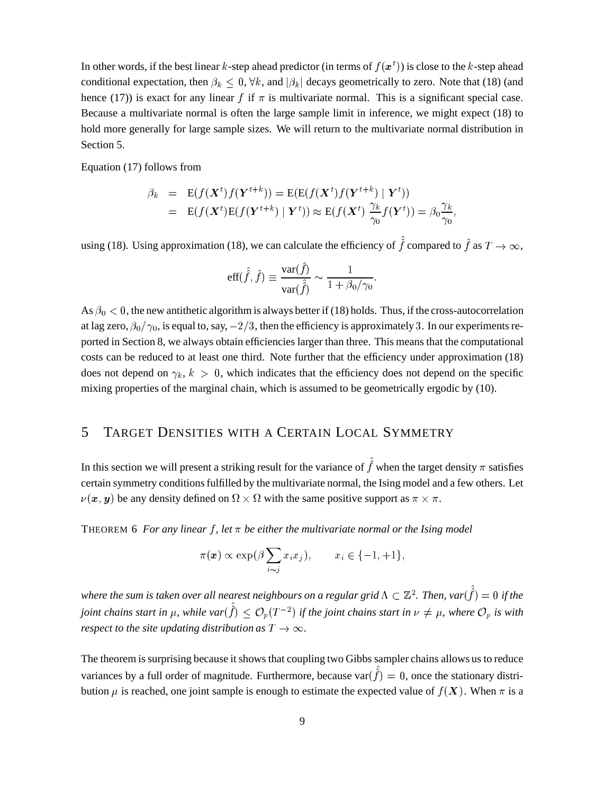In other words, if the best linear k-step ahead predictor (in terms of  $f(\bm{x}^t)$ ) is close to the k-step ahead conditional expectation, then  $\beta_k \leq 0$ ,  $\forall k$ , and  $|\beta_k|$  decays geometrically to zero. Note that (18) (and hence (17)) is exact for any linear  $f$  if  $\pi$  is multivariate normal. This is a significant special case. Because a multivariate normal is often the large sample limit in inference, we might expect (18) to hold more generally for large sample sizes. We will return to the multivariate normal distribution in Section 5.

Equation (17) follows from

$$
\beta_k = \mathbf{E}(f(\mathbf{X}^t)f(\mathbf{Y}^{t+k})) = \mathbf{E}(\mathbf{E}(f(\mathbf{X}^t)f(\mathbf{Y}^{t+k}) | \mathbf{Y}^t))
$$
  
=  $\mathbf{E}(f(\mathbf{X}^t)\mathbf{E}(f(\mathbf{Y}^{t+k}) | \mathbf{Y}^t)) \approx \mathbf{E}(f(\mathbf{X}^t) \frac{\gamma_k}{\gamma_0}f(\mathbf{Y}^t)) = \beta_0 \frac{\gamma_k}{\gamma_0},$ 

using (18). Using approximation (18), we can calculate the efficiency of  $\hat{f}$  compared to  $\hat{f}$  as  $T \to \infty$ ,

$$
\text{eff}(\hat{f}, \hat{f}) \equiv \frac{\text{var}(\hat{f})}{\text{var}(\hat{f})} \sim \frac{1}{1 + \beta_0/\gamma_0}.
$$

As  $\beta_0 < 0$ , the new antithetic algorithm is always better if (18) holds. Thus, if the cross-autocorrelation at lag zero,  $\beta_0/\gamma_0$ , is equal to, say,  $-2/3$ , then the efficiency is approximately 3. In our experiments reported in Section 8, we always obtain efficiencies larger than three. This means that the computational costs can be reduced to at least one third. Note further that the efficiency under approximation (18) does not depend on  $\gamma_k$ ,  $k > 0$ , which indicates that the efficiency does not depend on the specific mixing properties of the marginal chain, which is assumed to be geometrically ergodic by (10).

## 5 TARGET DENSITIES WITH A CERTAIN LOCAL SYMMETRY

In this section we will present a striking result for the variance of  $\hat{f}$  when the target density  $\pi$  satisfies certain symmetry conditions fulfilled by the multivariate normal, the Ising model and a few others. Let  $\nu(\bm{x}, \bm{y})$  be any density defined on  $\Omega \times \Omega$  with the same positive support as  $\pi \times \pi$ .

THEOREM 6 For any linear  $f$ , let  $\pi$  be either the multivariate normal or the Ising model

$$
\pi(\boldsymbol{x}) \propto \exp(\beta \sum_{i \sim j} x_i x_j), \qquad x_i \in \{-1, +1\},\
$$

where the sum is taken over all nearest neighbours on a regular grid  $\Lambda\subset\mathbb{Z}^2.$  Then, var $(\hat{\hat{f}})=0$  if the *joint chains start in*  $\mu$ *, while*  $var(\hat{f}) \leq \mathcal{O}_p(T^{-2})$  *<i>if the joint chains start in*  $\nu \neq \mu$ *, where*  $\mathcal{O}_p$  *is with respect to the site updating distribution as*  $T \rightarrow \infty$ *.* 

The theorem is surprising because it shows that coupling two Gibbs sampler chains allows us to reduce variances by a full order of magnitude. Furthermore, because var $(\hat{f}) = 0$ , once the stationary distribution  $\mu$  is reached, one joint sample is enough to estimate the expected value of  $f(X)$ . When  $\pi$  is a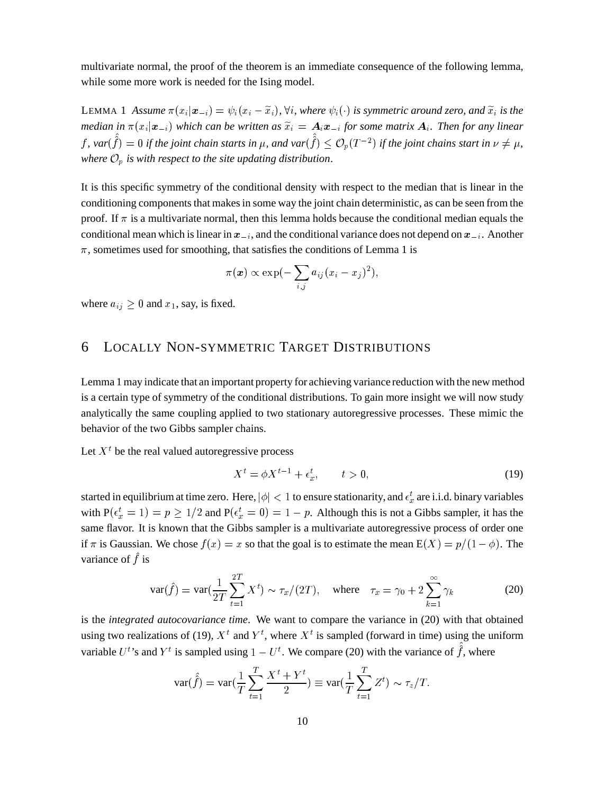multivariate normal, the proof of the theorem is an immediate consequence of the following lemma, while some more work is needed for the Ising model.

LEMMA 1 Assume  $\pi(x_i|\mathbf{x}_{-i}) = \psi_i(x_i - \tilde{x}_i)$ ,  $\forall i$ , where  $\psi_i(\cdot)$  is symmetric around zero, and  $\tilde{x}_i$  is the median in  $\pi(x_i|\mathbf{x}_{-i})$  which can be written as  $\widetilde{x}_i = A_i \mathbf{x}_{-i}$  for some matrix  $A_i$ . Then for any linear  $f$ , var $(\hat{f}) = 0$  if the joint chain starts in  $\mu$ , and var $(\hat{f}) \leq \mathcal{O}_p(T^{-2})$  if the joint chains start in  $\nu \neq \mu$ , where  $\mathcal{O}_p$  is with respect to the site updating distribution.

It is this specific symmetry of the conditional density with respect to the median that is linear in the conditioning components that makes in some way the joint chain deterministic, as can be seen from the proof. If  $\pi$  is a multivariate normal, then this lemma holds because the conditional median equals the conditional mean which is linear in  $x_{-i}$ , and the conditional variance does not depend on  $x_{-i}$ . Another  $\pi$ , sometimes used for smoothing, that satisfies the conditions of Lemma 1 is

$$
\pi(\boldsymbol{x}) \propto \exp(-\sum_{i,j} a_{ij} (x_i - x_j)^2),
$$

where  $a_{ij} \geq 0$  and  $x_1$ , say, is fixed.

#### **LOCALLY NON-SYMMETRIC TARGET DISTRIBUTIONS** 6

Lemma 1 may indicate that an important property for achieving variance reduction with the new method is a certain type of symmetry of the conditional distributions. To gain more insight we will now study analytically the same coupling applied to two stationary autoregressive processes. These mimic the behavior of the two Gibbs sampler chains.

Let  $X<sup>t</sup>$  be the real valued autoregressive process

$$
X^t = \phi X^{t-1} + \epsilon_x^t, \qquad t > 0,
$$
\n<sup>(19)</sup>

started in equilibrium at time zero. Here,  $|\phi| < 1$  to ensure stationarity, and  $\epsilon_x^t$  are i.i.d. binary variables with  $P(\epsilon_x^t = 1) = p \ge 1/2$  and  $P(\epsilon_x^t = 0) = 1 - p$ . Although this is not a Gibbs sampler, it has the same flavor. It is known that the Gibbs sampler is a multivariate autoregressive process of order one if  $\pi$  is Gaussian. We chose  $f(x) = x$  so that the goal is to estimate the mean  $E(X) = p/(1 - \phi)$ . The variance of  $\hat{f}$  is

$$
\text{var}(\hat{f}) = \text{var}(\frac{1}{2T} \sum_{t=1}^{2T} X^t) \sim \tau_x/(2T), \quad \text{where} \quad \tau_x = \gamma_0 + 2 \sum_{k=1}^{\infty} \gamma_k
$$
 (20)

is the *integrated autocovariance time*. We want to compare the variance in (20) with that obtained using two realizations of (19),  $X^t$  and  $Y^t$ , where  $X^t$  is sampled (forward in time) using the uniform variable  $U^t$ 's and  $Y^t$  is sampled using  $1 - U^t$ . We compare (20) with the variance of  $\hat{f}$ , where

$$
\text{var}(\hat{f}) = \text{var}(\frac{1}{T} \sum_{t=1}^T \frac{X^t + Y^t}{2}) \equiv \text{var}(\frac{1}{T} \sum_{t=1}^T Z^t) \sim \tau_z/T.
$$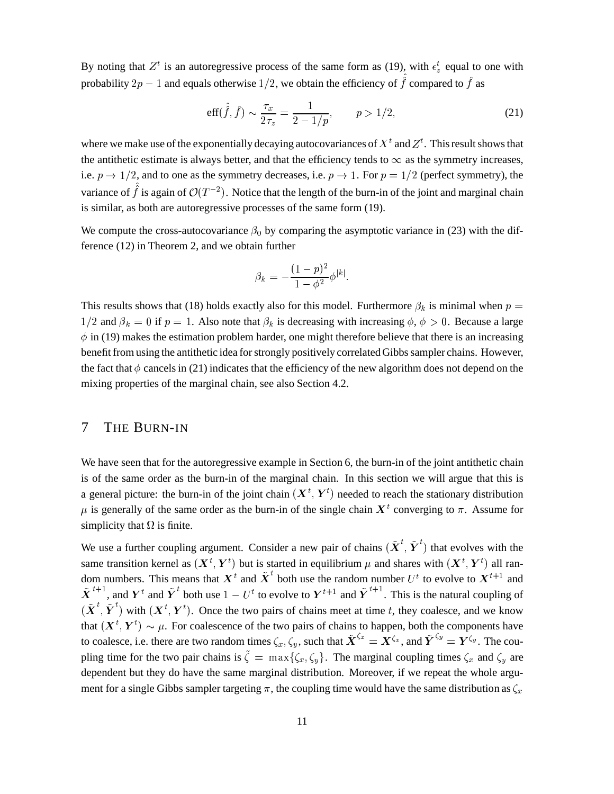By noting that  $Z^t$  is an autoregressive process of the same form as (19), with  $\epsilon_z^t$  equal to one with probability  $2p - 1$  and equals otherwise  $1/2$ , we obtain the efficiency of  $\hat{f}$  compared to  $\hat{f}$  as

$$
\text{eff}(\hat{f}, \hat{f}) \sim \frac{\tau_x}{2\tau_z} = \frac{1}{2 - 1/p}, \qquad p > 1/2,\tag{21}
$$

where we make use of the exponentially decaying autocovariances of  $X<sup>t</sup>$  and  $Z<sup>t</sup>$ . This result shows that the antithetic estimate is always better, and that the efficiency tends to  $\infty$  as the symmetry increases, i.e.  $p \to 1/2$ , and to one as the symmetry decreases, i.e.  $p \to 1$ . For  $p = 1/2$  (perfect symmetry), the variance of  $\hat{f}$  is again of  $\mathcal{O}(T^{-2})$ . Notice that the length of the burn-in of the joint and marginal chain is similar, as both are autoregressive processes of the same form (19).

We compute the cross-autocovariance  $\beta_0$  by comparing the asymptotic variance in (23) with the difference  $(12)$  in Theorem 2, and we obtain further

$$
\beta_k = -\frac{(1-p)^2}{1-\phi^2} \phi^{|k|}.
$$

This results shows that (18) holds exactly also for this model. Furthermore  $\beta_k$  is minimal when  $p =$  $1/2$  and  $\beta_k = 0$  if  $p = 1$ . Also note that  $\beta_k$  is decreasing with increasing  $\phi$ ,  $\phi > 0$ . Because a large  $\phi$  in (19) makes the estimation problem harder, one might therefore believe that there is an increasing benefit from using the antithetic idea for strongly positively correlated Gibbs sampler chains. However, the fact that  $\phi$  cancels in (21) indicates that the efficiency of the new algorithm does not depend on the mixing properties of the marginal chain, see also Section 4.2.

#### THE BURN-IN 7

We have seen that for the autoregressive example in Section 6, the burn-in of the joint antithetic chain is of the same order as the burn-in of the marginal chain. In this section we will argue that this is a general picture: the burn-in of the joint chain  $(\mathbf{X}^t, \mathbf{Y}^t)$  needed to reach the stationary distribution  $\mu$  is generally of the same order as the burn-in of the single chain  $X^t$  converging to  $\pi$ . Assume for simplicity that  $\Omega$  is finite.

We use a further coupling argument. Consider a new pair of chains  $(\tilde{\boldsymbol{X}}^{t}, \tilde{\boldsymbol{Y}}^{t})$  that evolves with the same transition kernel as  $(X^t, Y^t)$  but is started in equilibrium  $\mu$  and shares with  $(X^t, Y^t)$  all random numbers. This means that  $\mathbf{X}^t$  and  $\mathbf{X}^t$  both use the random number  $U^t$  to evolve to  $\mathbf{X}^{t+1}$  and  $\tilde{\boldsymbol{X}}^{t+1}$ , and  $\boldsymbol{Y}^t$  and  $\tilde{\boldsymbol{Y}}^t$  both use  $1 - U^t$  to evolve to  $\boldsymbol{Y}^{t+1}$  and  $\tilde{\boldsymbol{Y}}^{t+1}$ . This is the natural coupling of  $(\tilde{\boldsymbol{X}}^{t}, \tilde{\boldsymbol{Y}}^{t})$  with  $(\boldsymbol{X}^{t}, \boldsymbol{Y}^{t})$ . Once the two pairs of chains meet at time t, they coalesce, and we know that  $(\mathbf{X}^t, \mathbf{Y}^t) \sim \mu$ . For coalescence of the two pairs of chains to happen, both the components have to coalesce, i.e. there are two random times  $\zeta_x, \zeta_y$ , such that  $\tilde{\boldsymbol{X}}^{\zeta_x} = \boldsymbol{X}^{\zeta_x}$ , and  $\tilde{\boldsymbol{Y}}^{\zeta_y} = \boldsymbol{Y}^{\zeta_y}$ . The coupling time for the two pair chains is  $\tilde{\zeta} = \max{\{\zeta_x, \zeta_y\}}$ . The marginal coupling times  $\zeta_x$  and  $\zeta_y$  are dependent but they do have the same marginal distribution. Moreover, if we repeat the whole argument for a single Gibbs sampler targeting  $\pi$ , the coupling time would have the same distribution as  $\zeta_x$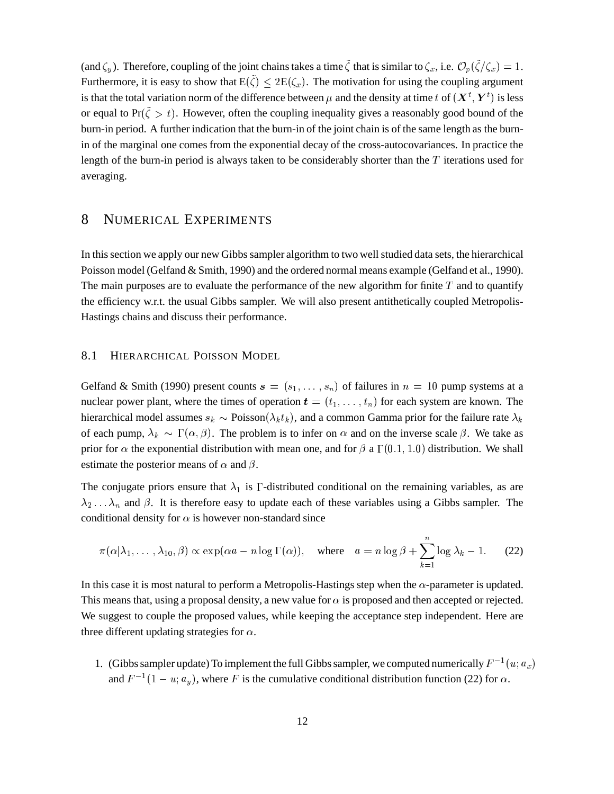(and  $\zeta_y$ ). Therefore, coupling of the joint chains takes a time  $\tilde{\zeta}$  that is similar to  $\zeta_x$ , i.e.  $\mathcal{O}_p(\tilde{\zeta}/\zeta_x) = 1$ . Furthermore, it is easy to show that  $E(\tilde{\zeta}) \leq 2E(\zeta_x)$ . The motivation for using the coupling argument is that the total variation norm of the difference between  $\mu$  and the density at time t of  $(X^t, Y^t)$  is less or equal to  $Pr(\zeta > t)$ . However, often the coupling inequality gives a reasonably good bound of the burn-in period. A further indication that the burn-in of the joint chain is of the same length as the burnin of the marginal one comes from the exponential decay of the cross-autocovariances. In practice the length of the burn-in period is always taken to be considerably shorter than the  $T$  iterations used for averaging.

#### **NUMERICAL EXPERIMENTS** 8

In this section we apply our new Gibbs sampler algorithm to two well studied data sets, the hierarchical Poisson model (Gelfand & Smith, 1990) and the ordered normal means example (Gelfand et al., 1990). The main purposes are to evaluate the performance of the new algorithm for finite  $T$  and to quantify the efficiency w.r.t. the usual Gibbs sampler. We will also present antithetically coupled Metropolis-Hastings chains and discuss their performance.

#### 8.1 HIERARCHICAL POISSON MODEL

Gelfand & Smith (1990) present counts  $s = (s_1, \ldots, s_n)$  of failures in  $n = 10$  pump systems at a nuclear power plant, where the times of operation  $t = (t_1, \ldots, t_n)$  for each system are known. The hierarchical model assumes  $s_k \sim \text{Poisson}(\lambda_k t_k)$ , and a common Gamma prior for the failure rate  $\lambda_k$ of each pump,  $\lambda_k \sim \Gamma(\alpha, \beta)$ . The problem is to infer on  $\alpha$  and on the inverse scale  $\beta$ . We take as prior for  $\alpha$  the exponential distribution with mean one, and for  $\beta$  a  $\Gamma(0.1, 1.0)$  distribution. We shall estimate the posterior means of  $\alpha$  and  $\beta$ .

The conjugate priors ensure that  $\lambda_1$  is  $\Gamma$ -distributed conditional on the remaining variables, as are  $\lambda_2 \ldots \lambda_n$  and  $\beta$ . It is therefore easy to update each of these variables using a Gibbs sampler. The conditional density for  $\alpha$  is however non-standard since

$$
\pi(\alpha|\lambda_1,\ldots,\lambda_{10},\beta) \propto \exp(\alpha a - n \log \Gamma(\alpha)), \quad \text{where} \quad a = n \log \beta + \sum_{k=1}^n \log \lambda_k - 1. \tag{22}
$$

In this case it is most natural to perform a Metropolis-Hastings step when the  $\alpha$ -parameter is updated. This means that, using a proposal density, a new value for  $\alpha$  is proposed and then accepted or rejected. We suggest to couple the proposed values, while keeping the acceptance step independent. Here are three different updating strategies for  $\alpha$ .

1. (Gibbs sampler update) To implement the full Gibbs sampler, we computed numerically  $F^{-1}(u; a_x)$ and  $F^{-1}(1 - u; a_v)$ , where F is the cumulative conditional distribution function (22) for  $\alpha$ .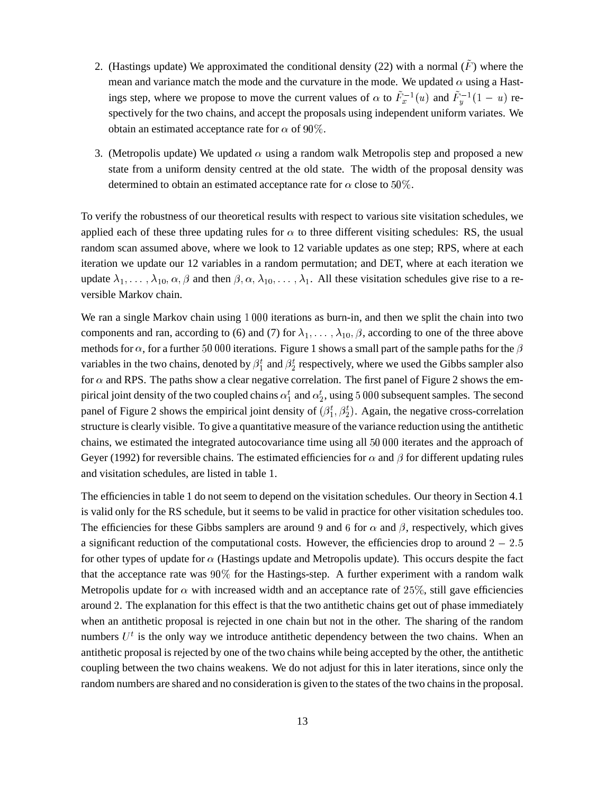- 2. (Hastings update) We approximated the conditional density (22) with a normal  $(\bar{F})$  where the mean and variance match the mode and the curvature in the mode. We updated  $\alpha$  using a Hastings step, where we propose to move the current values of  $\alpha$  to  $\tilde{F}_x^{-1}(u)$  and  $\tilde{F}_y^{-1}(1-u)$  respectively for the two chains, and accept the proposals using independent uniform variates. We obtain an estimated acceptance rate for  $\alpha$  of  $90\%$ .
- 3. (Metropolis update) We updated  $\alpha$  using a random walk Metropolis step and proposed a new state from a uniform density centred at the old state. The width of the proposal density was determined to obtain an estimated acceptance rate for  $\alpha$  close to 50%.

To verify the robustness of our theoretical results with respect to various site visitation schedules, we applied each of these three updating rules for  $\alpha$  to three different visiting schedules: RS, the usual random scan assumed above, where we look to 12 variable updates as one step; RPS, where at each iteration we update our 12 variables in a random permutation; and DET, where at each iteration we update  $\lambda_1, \ldots, \lambda_{10}, \alpha, \beta$  and then  $\beta, \alpha, \lambda_{10}, \ldots, \lambda_1$ . All these visitation schedules give rise to a reversible Markov chain.

We ran a single Markov chain using 1 000 iterations as burn-in, and then we split the chain into two components and ran, according to (6) and (7) for  $\lambda_1, \ldots, \lambda_{10}, \beta$ , according to one of the three above methods for  $\alpha$ , for a further 50 000 iterations. Figure 1 shows a small part of the sample paths for the  $\beta$ variables in the two chains, denoted by  $\beta_1^t$  and  $\beta_2^t$  respectively, where we used the Gibbs sampler also for  $\alpha$  and RPS. The paths show a clear negative correlation. The first panel of Figure 2 shows the empirical joint density of the two coupled chains  $\alpha_1^t$  and  $\alpha_2^t$ , using 5 000 subsequent samples. The second panel of Figure 2 shows the empirical joint density of  $(\beta_1^t, \beta_2^t)$ . Again, the negative cross-correlation structure is clearly visible. To give a quantitative measure of the variance reduction using the antithetic chains, we estimated the integrated autocovariance time using all  $50000$  iterates and the approach of Geyer (1992) for reversible chains. The estimated efficiencies for  $\alpha$  and  $\beta$  for different updating rules and visitation schedules, are listed in table 1.

The efficiencies in table 1 do not seem to depend on the visitation schedules. Our theory in Section 4.1 is valid only for the RS schedule, but it seems to be valid in practice for other visitation schedules too. The efficiencies for these Gibbs samplers are around 9 and 6 for  $\alpha$  and  $\beta$ , respectively, which gives a significant reduction of the computational costs. However, the efficiencies drop to around  $2 - 2.5$ for other types of update for  $\alpha$  (Hastings update and Metropolis update). This occurs despite the fact that the acceptance rate was  $90\%$  for the Hastings-step. A further experiment with a random walk Metropolis update for  $\alpha$  with increased width and an acceptance rate of 25%, still gave efficiencies around 2. The explanation for this effect is that the two antithetic chains get out of phase immediately when an antithetic proposal is rejected in one chain but not in the other. The sharing of the random numbers  $U<sup>t</sup>$  is the only way we introduce antithetic dependency between the two chains. When an antithetic proposal is rejected by one of the two chains while being accepted by the other, the antithetic coupling between the two chains weakens. We do not adjust for this in later iterations, since only the random numbers are shared and no consideration is given to the states of the two chains in the proposal.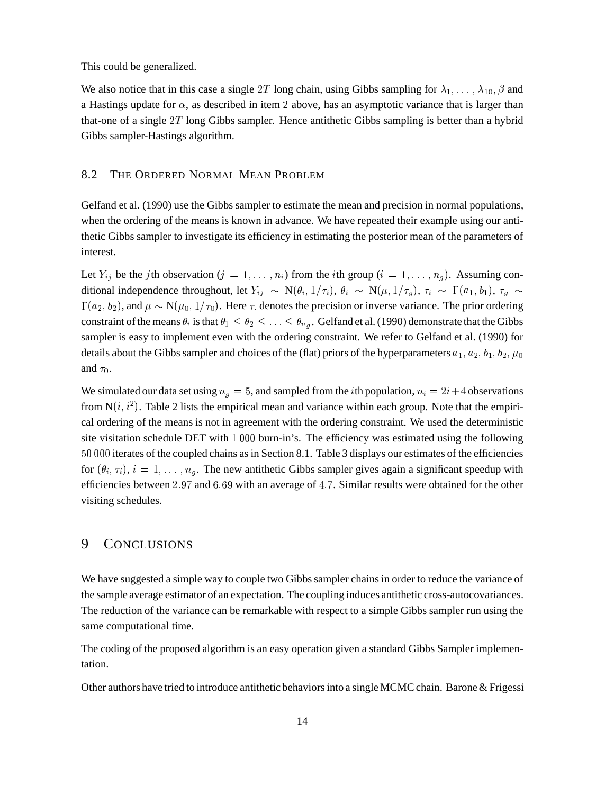This could be generalized.

We also notice that in this case a single 2T long chain, using Gibbs sampling for  $\lambda_1, \ldots, \lambda_{10}, \beta$  and a Hastings update for  $\alpha$ , as described in item 2 above, has an asymptotic variance that is larger than that-one of a single  $2T$  long Gibbs sampler. Hence antithetic Gibbs sampling is better than a hybrid Gibbs sampler-Hastings algorithm.

### 8.2 THE ORDERED NORMAL MEAN PROBLEM

Gelfand et al. (1990) use the Gibbs sampler to estimate the mean and precision in normal populations, when the ordering of the means is known in advance. We have repeated their example using our antithetic Gibbs sampler to investigate its efficiency in estimating the posterior mean of the parameters of interest.

Let  $Y_{ij}$  be the jth observation  $(j = 1, \ldots, n_i)$  from the *i*th group  $(i = 1, \ldots, n_g)$ . Assuming conditional independence throughout, let  $Y_{ij} \sim N(\theta_i, 1/\tau_i)$ ,  $\theta_i \sim N(\mu, 1/\tau_q)$ ,  $\tau_i \sim \Gamma(a_1, b_1)$ ,  $\tau_q \sim \Gamma(a_2, b_2)$  $(a_2, b_2)$ , and  $\mu \sim N(\mu_0, 1/\tau_0)$ . Here  $\tau$  denotes the precision or inverse variance. The prior ordering constraint of the means  $\theta_i$  is that  $\theta_1 \leq \theta_2 \leq \ldots \leq \theta_{n_g}$ . Gelfand et al. (1990) demonstrate that the Gibbs sampler is easy to implement even with the ordering constraint. We refer to Gelfand et al. (1990) for details about the Gibbs sampler and choices of the (flat) priors of the hyperparameters  $a_1, a_2, b_1, b_2, \mu_0$ and  $\tau_0$ .

We simulated our data set using  $n_q = 5$ , and sampled from the *i*th population,  $n_i = 2i+4$  observations from  $N(i, i^2)$ . Table 2 lists the empirical mean and variance within each group. Note that the empirical ordering of the means is not in agreement with the ordering constraint. We used the deterministic site visitation schedule DET with  $1\,000$  burn-in's. The efficiency was estimated using the following 50 000 iterates of the coupled chains as in Section 8.1. Table 3 displays our estimates of the efficiencies for  $(\theta_i, \tau_i)$ ,  $i = 1, \ldots, n_q$ . The new antithetic Gibbs sampler gives again a significant speedup with efficiencies between 2.97 and 6.69 with an average of 4.7. Similar results were obtained for the other visiting schedules.

### 9 CONCLUSIONS

We have suggested a simple way to couple two Gibbs sampler chains in order to reduce the variance of the sample average estimator of an expectation. The coupling induces antithetic cross-autocovariances. The reduction of the variance can be remarkable with respect to a simple Gibbs sampler run using the same computational time.

The coding of the proposed algorithm is an easy operation given a standard Gibbs Sampler implementation.

Other authors have tried to introduce antithetic behaviors into a single MCMC chain. Barone & Frigessi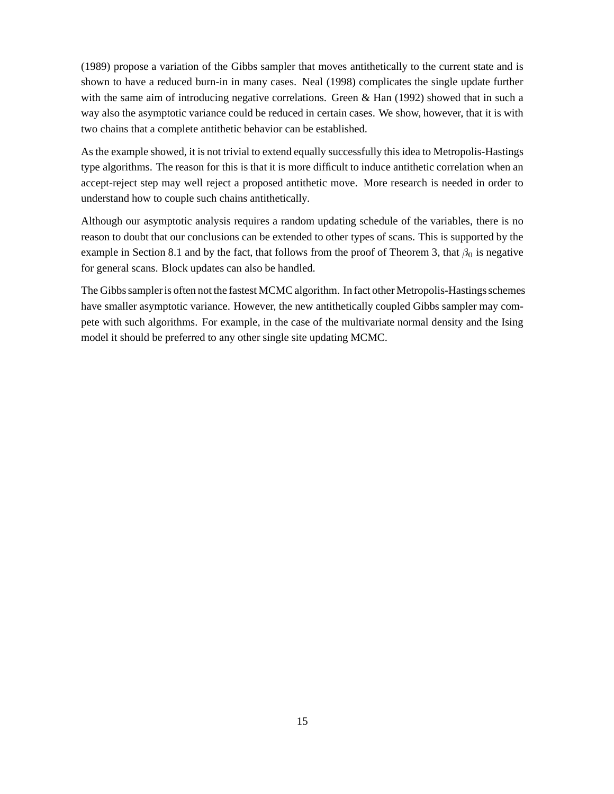(1989) propose a variation of the Gibbs sampler that moves antithetically to the current state and is shown to have a reduced burn-in in many cases. Neal (1998) complicates the single update further with the same aim of introducing negative correlations. Green & Han (1992) showed that in such a way also the asymptotic variance could be reduced in certain cases. We show, however, that it is with two chains that a complete antithetic behavior can be established.

As the example showed, it is not trivial to extend equally successfully this idea to Metropolis-Hastings type algorithms. The reason for this is that it is more difficult to induce antithetic correlation when an accept-reject step may well reject a proposed antithetic move. More research is needed in order to understand how to couple such chains antithetically.

Although our asymptotic analysis requires a random updating schedule of the variables, there is no reason to doubt that our conclusions can be extended to other types of scans. This is supported by the example in Section 8.1 and by the fact, that follows from the proof of Theorem 3, that  $\beta_0$  is negative for general scans. Block updates can also be handled.

The Gibbs sampler is often not the fastest MCMC algorithm. In fact other Metropolis-Hastings schemes have smaller asymptotic variance. However, the new antithetically coupled Gibbs sampler may compete with such algorithms. For example, in the case of the multivariate normal density and the Ising model it should be preferred to any other single site updating MCMC.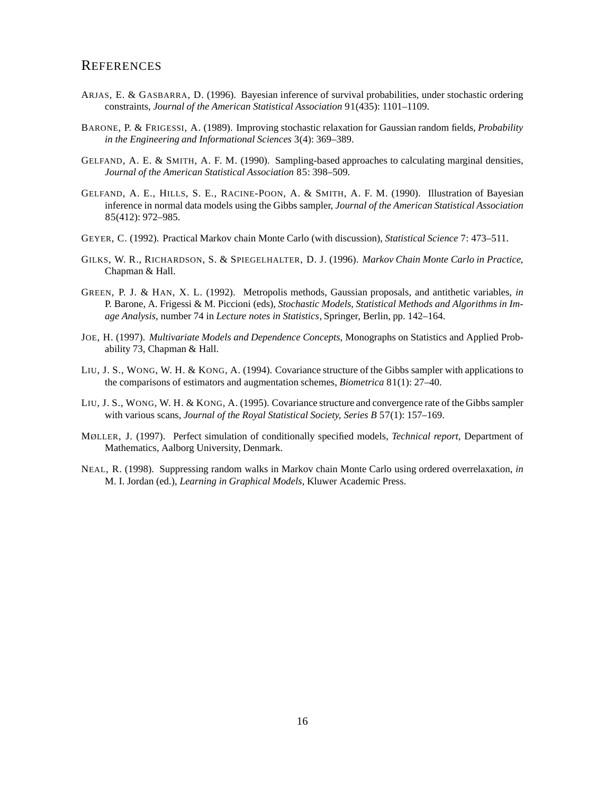### **REFERENCES**

- ARJAS, E. & GASBARRA, D. (1996). Bayesian inference of survival probabilities, under stochastic ordering constraints, *Journal of the American Statistical Association* 91(435): 1101–1109.
- BARONE, P. & FRIGESSI, A. (1989). Improving stochastic relaxation for Gaussian random fields, *Probability in the Engineering and Informational Sciences* 3(4): 369–389.
- GELFAND, A. E. & SMITH, A. F. M. (1990). Sampling-based approaches to calculating marginal densities, *Journal of the American Statistical Association* 85: 398–509.
- GELFAND, A. E., HILLS, S. E., RACINE-POON, A. & SMITH, A. F. M. (1990). Illustration of Bayesian inference in normal data models using the Gibbs sampler, *Journal of the American Statistical Association* 85(412): 972–985.
- GEYER, C. (1992). Practical Markov chain Monte Carlo (with discussion), *Statistical Science* 7: 473–511.
- GILKS, W. R., RICHARDSON, S. & SPIEGELHALTER, D. J. (1996). *Markov Chain Monte Carlo in Practice*, Chapman & Hall.
- GREEN, P. J. & HAN, X. L. (1992). Metropolis methods, Gaussian proposals, and antithetic variables, *in* P. Barone, A. Frigessi & M. Piccioni (eds), *Stochastic Models, Statistical Methods and Algorithms in Image Analysis*, number 74 in *Lecture notes in Statistics*,Springer, Berlin, pp. 142–164.
- JOE, H. (1997). *Multivariate Models and Dependence Concepts*, Monographs on Statistics and Applied Probability 73, Chapman & Hall.
- LIU, J. S., WONG, W. H. & KONG, A. (1994). Covariance structure of the Gibbs sampler with applications to the comparisons of estimators and augmentation schemes, *Biometrica* 81(1): 27–40.
- LIU, J. S., WONG, W. H. & KONG, A. (1995). Covariance structure and convergence rate of the Gibbs sampler with various scans, *Journal of the Royal Statistical Society, Series B* 57(1): 157–169.
- MØLLER, J. (1997). Perfect simulation of conditionally specified models, *Technical report*, Department of Mathematics, Aalborg University, Denmark.
- NEAL, R. (1998). Suppressing random walks in Markov chain Monte Carlo using ordered overrelaxation, *in* M. I. Jordan (ed.), *Learning in Graphical Models*, Kluwer Academic Press.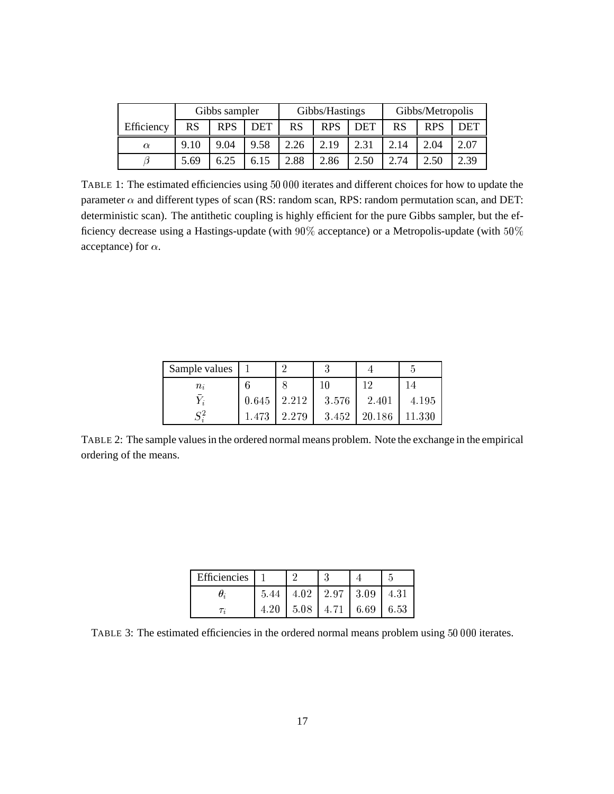|            | Gibbs sampler |            | Gibbs/Hastings |      |            | Gibbs/Metropolis |      |            |            |
|------------|---------------|------------|----------------|------|------------|------------------|------|------------|------------|
| Efficiency | RS            | <b>RPS</b> | <b>DET</b>     | RS   | <b>RPS</b> | <b>DET</b>       | RS   | <b>RPS</b> | <b>DET</b> |
| $\alpha$   | 9.10          | 9.04       | 9.58           | 2.26 | 2.19       | 2.31             | 2.14 | 2.04       | 2.07       |
|            | 5.69          | 6.25       | 6.15           | 2.88 | 2.86       | 2.50             | 2.74 | 2.50       | 2.39       |

TABLE 1: The estimated efficiencies using 50 000 iterates and different choices for how to update the parameter  $\alpha$  and different types of scan (RS: random scan, RPS: random permutation scan, and DET: deterministic scan). The antithetic coupling is highly efficient for the pure Gibbs sampler, but the efficiency decrease using a Hastings-update (with 90% acceptance) or a Metropolis-update (with 50% acceptance) for  $\alpha$ .

| Sample values |       | 2     | 3      |        | 5      |
|---------------|-------|-------|--------|--------|--------|
| $n_i$         |       |       | $10\,$ | 12     | 14     |
| $\bar{Y}_i$   | 0.645 | 2.212 | 3.576  | 2.401  | 4.195  |
| $S^2$         | 1.473 | 2.279 | 3.452  | 20.186 | 11.330 |

TABLE 2: The sample values in the ordered normal means problem. Note the exchange in the empirical ordering of the means.

| Efficiencies |      |      |                          |      |      |
|--------------|------|------|--------------------------|------|------|
|              | 5.44 |      | $4.02$   $2.97$   $3.09$ |      | 4.31 |
|              | 4.20 | 5.08 | 4.71                     | 6.69 | 6.53 |

TABLE 3: The estimated efficiencies in the ordered normal means problem using 50 000 iterates.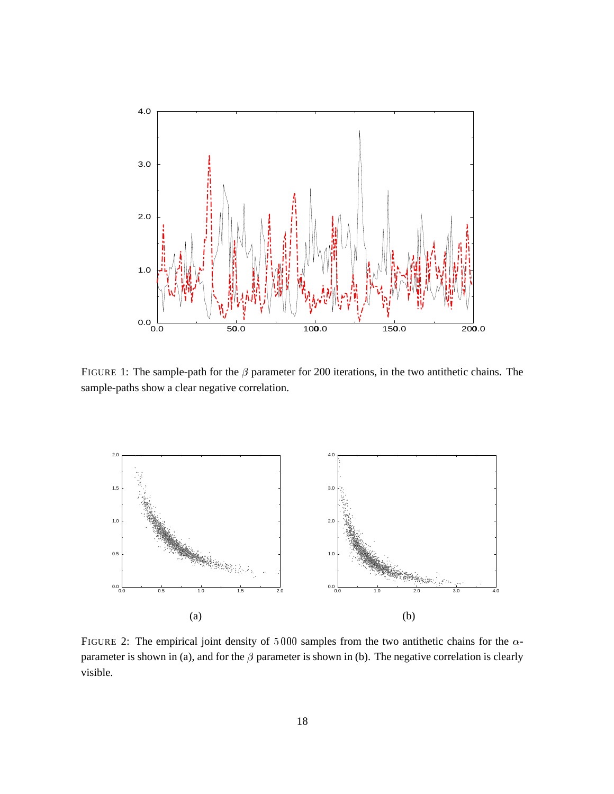

FIGURE 1: The sample-path for the  $\beta$  parameter for 200 iterations, in the two antithetic chains. The sample-paths show a clear negative correlation.



FIGURE 2: The empirical joint density of  $5000$  samples from the two antithetic chains for the  $\alpha$ parameter is shown in (a), and for the  $\beta$  parameter is shown in (b). The negative correlation is clearly visible.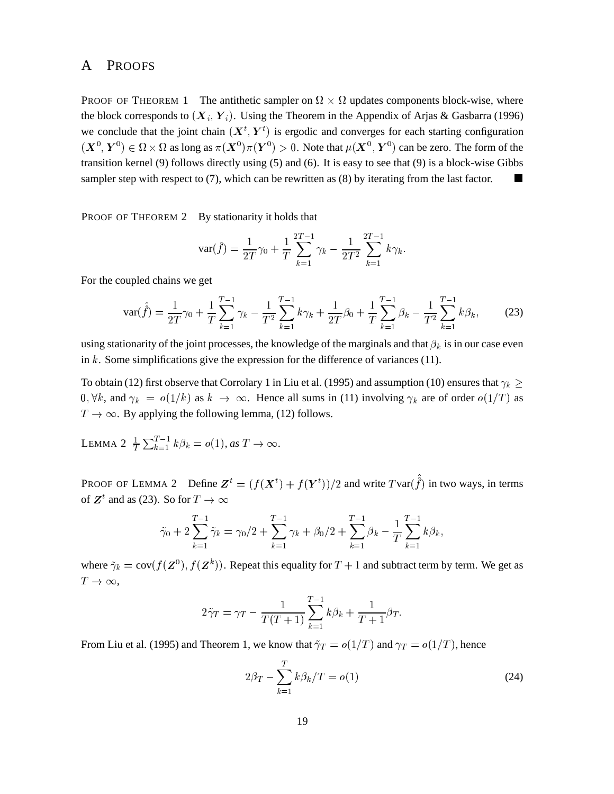### A PROOFS

PROOF OF THEOREM 1 The antithetic sampler on  $\Omega \times \Omega$  updates components block-wise, where the block corresponds to  $(X_i, Y_i)$ . Using the Theorem in the Appendix of Arjas & Gasbarra (1996) we conclude that the joint chain  $(X^t, Y^t)$  is ergodic an (=  $<sup>t</sup>$ ) is ergodic and converges for each starting configuration</sup>  $(X^0,Y^0)\in \Omega\times\Omega$  as long as  $\pi(X^0)\pi(Y^0)>0.$  Note that  $\mu(X^0,Y^0)$  can be zero. The form of the transition kernel (9) follows directly using (5) and (6). It is easy to see that (9) is a block-wise Gibbs sampler step with respect to (7), which can be rewritten as (8) by iterating from the last factor.

PROOF OF THEOREM 2 By stationarity it holds that

$$
\text{var}(\hat{f}) = \frac{1}{2T}\gamma_0 + \frac{1}{T}\sum_{k=1}^{2T-1}\gamma_k - \frac{1}{2T^2}\sum_{k=1}^{2T-1}k\gamma_k.
$$

For the coupled chains we get

$$
\text{var}(\hat{f}) = \frac{1}{2T}\gamma_0 + \frac{1}{T}\sum_{k=1}^{T-1} \gamma_k - \frac{1}{T^2}\sum_{k=1}^{T-1} k\gamma_k + \frac{1}{2T}\beta_0 + \frac{1}{T}\sum_{k=1}^{T-1} \beta_k - \frac{1}{T^2}\sum_{k=1}^{T-1} k\beta_k,\tag{23}
$$

using stationarity of the joint processes, the knowledge of the marginals and that  $\beta_k$  is in our case even in  $k$ . Some simplifications give the expression for the difference of variances (11).

To obtain (12) first observe that Corrolary 1 in Liu et al. (1995) and assumption (10) ensures that  $\gamma_k$  >  $\sim$   $0, \forall k$ , and  $\gamma_k = o(1/k)$  as  $k \to \infty$ . Hence all sums in (11) involving  $\gamma_k$  are of order  $o(1/T)$  as  $T \rightarrow \infty$ . By applying the following lemma, (12) follows.

LEMMA 2  $\frac{1}{T} \sum_{k=1}^{T-1} k \beta_k = o(1)$ , as  $T \to \infty$ .

PROOF OF LEMMA 2 Define  $\mathbf{Z}^t = (f(\mathbf{X}^t) +$ .  $\sim$  500  $\sim$  500  $\sim$  500  $\sim$  500  $\sim$ AO =  $(t^{(t)})/2$  and write  $T$ var $(\hat{\hat{f}})$  in two ways, in terms of  $\mathbf{Z}^t$  and as (23). So for  $T \to \infty$ 

$$
\tilde{\gamma}_0 + 2\sum_{k=1}^{T-1} \tilde{\gamma}_k = \gamma_0/2 + \sum_{k=1}^{T-1} \gamma_k + \beta_0/2 + \sum_{k=1}^{T-1} \beta_k - \frac{1}{T} \sum_{k=1}^{T-1} k \beta_k,
$$

where  $\tilde{\gamma}_k = \text{cov}(f(\mathbf{Z}^0), f(\mathbf{Z}^k))$ . Repeat this equality for  $T + 1$  and subtract term by term. We get as  $T\to\infty$ ,

$$
2\tilde{\gamma}_T = \gamma_T - \frac{1}{T(T+1)} \sum_{k=1}^{T-1} k\beta_k + \frac{1}{T+1} \beta_T.
$$

From Liu et al. (1995) and Theorem 1, we know that  $\tilde{\gamma}_T = o(1/T)$  and  $\gamma_T = o(1/T)$ , hence

$$
2\beta_T - \sum_{k=1}^T k\beta_k/T = o(1)
$$
 (24)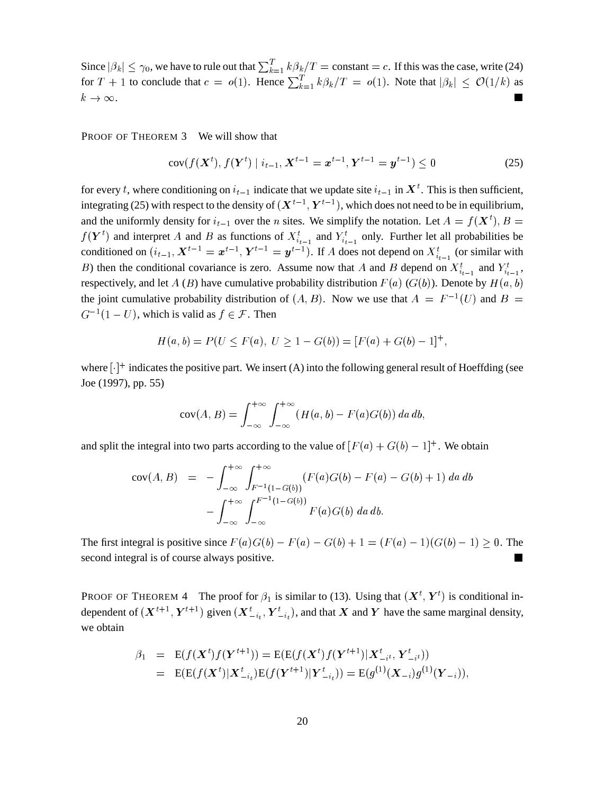Since  $|\beta_k| \leq \gamma_0$ , we have to rule out that  $\sum_{k=1}^T k \beta_k / T = \text{constant} = c$ . If this was the case, write (24) for  $T + 1$  to conclude that  $c = o(1)$ . Hence  $\sum_{k=1}^{T} k\beta_k/T = o(1)$ . Note that  $|\beta_k| \le O(1/k)$  as  $k\to\infty$ .

PROOF OF THEOREM 3 We will show that

$$
cov(f(\boldsymbol{X}^{t}), f(\boldsymbol{Y}^{t}) \mid i_{t-1}, \boldsymbol{X}^{t-1} = \boldsymbol{x}^{t-1}, \boldsymbol{Y}^{t-1} = \boldsymbol{y}^{t-1}) \leq 0
$$
\n(25)

for every t, where conditioning on  $i_{t-1}$  indicate that we update site  $i_{t-1}$  in  $X^t$ . This is then sufficient, integrating (25) with respect to the density of  $(X^{t-1}, Y^{t-1})$ , which does not need to be in equilibrium, and the uniformly density for  $i_{t-1}$  over the *n* sites. We simplify the notation. Let  $A = f(X^t)$ ,  $B = f(X^t)$  $f(Y<sup>t</sup>)$  and interpret A and B as functions of  $X_{i_{t-1}}<sup>t</sup>$  and  $Y_{i_{t-1}}<sup>t</sup>$  only. Further let all probabilities be conditioned on  $(i_{t-1}, X^{t-1} = x^{t-1}, Y^{t-1} = y^{t-1})$ . If A does not depend on  $X_{i_{t-1}}^t$  (or similar with B) then the conditional covariance is zero. Assume now that A and B depend on  $X_{i_{t-1}}^t$  and  $Y_{i_{t-1}}^t$ , respectively, and let A (B) have cumulative probability distribution  $F(a)$  ( $G(b)$ ). Denote by  $H(a, b)$ the joint cumulative probability distribution of  $(A, B)$ . Now we use that  $A = F^{-1}(U)$  and  $B =$  $G^{-1}(1-U)$ , which is valid as  $f \in \mathcal{F}$ . Then

$$
H(a, b) = P(U \le F(a), U \ge 1 - G(b)) = [F(a) + G(b) - 1]^+,
$$

where  $[\cdot]^+$  indicates the positive part. We insert (A) into the following general result of Hoeffding (see Joe (1997), pp. 55)

$$
cov(A, B) = \int_{-\infty}^{+\infty} \int_{-\infty}^{+\infty} (H(a, b) - F(a)G(b)) \, da \, db,
$$

and split the integral into two parts according to the value of  $[F(a) + G(b) - 1]^+$ . We obtain

$$
\text{cov}(A, B) = -\int_{-\infty}^{+\infty} \int_{F^{-1}(1-G(b))}^{+\infty} (F(a)G(b) - F(a) - G(b) + 1) \, da \, db
$$

$$
- \int_{-\infty}^{+\infty} \int_{-\infty}^{F^{-1}(1-G(b))} F(a)G(b) \, da \, db.
$$

The first integral is positive since  $F(a)G(b) - F(a) - G(b) + 1 = (F(a) - 1)(G(b) - 1) > 0$ . The second integral is of course always positive.

**PROOF OF THEOREM 4** The proof for  $\beta_1$  is similar to (13). Using that  $(X^t, Y^t)$  is conditional independent of  $(X^{t+1}, Y^{t+1})$  given  $(X_{-i}^t, Y_{-i}^t)$ , and that X and Y have the same marginal density, we obtain

$$
\beta_1 = \mathbf{E}(f(\mathbf{X}^t)f(\mathbf{Y}^{t+1})) = \mathbf{E}(\mathbf{E}(f(\mathbf{X}^t)f(\mathbf{Y}^{t+1})|\mathbf{X}_{-i}^t, \mathbf{Y}_{-i}^t))
$$
  
= 
$$
\mathbf{E}(\mathbf{E}(f(\mathbf{X}^t)|\mathbf{X}_{-i}^t)\mathbf{E}(f(\mathbf{Y}^{t+1})|\mathbf{Y}_{-i}^t)) = \mathbf{E}(g^{(1)}(\mathbf{X}_{-i})g^{(1)}(\mathbf{Y}_{-i}))
$$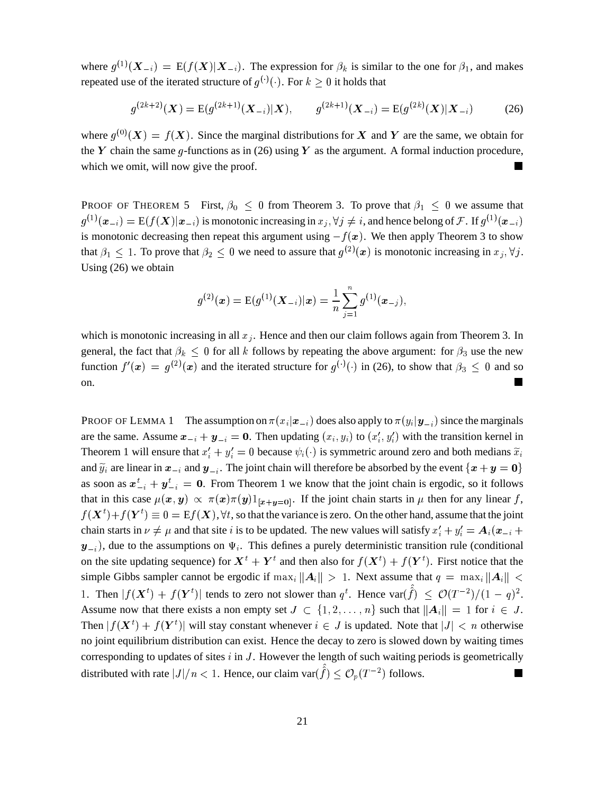where  $g^{(1)}(X_{-i}) = E(f(X)|X_{-i})$ . The expression for  $\beta_k$  is similar to the one for  $\beta_1$ , and makes repeated use of the iterated structure of  $g^{(\cdot)}(\cdot)$ . For  $k \geq 0$  it holds that

$$
g^{(2k+2)}(\boldsymbol{X}) = \mathcal{E}(g^{(2k+1)}(\boldsymbol{X}_{-i})|\boldsymbol{X}), \qquad g^{(2k+1)}(\boldsymbol{X}_{-i}) = \mathcal{E}(g^{(2k)}(\boldsymbol{X})|\boldsymbol{X}_{-i}) \tag{26}
$$

where  $g^{(0)}(X) = f(X)$ . Since the marginal distributions for X and Y are the same, we obtain for the Y chain the same q-functions as in (26) using Y as the argument. A formal induction procedure, which we omit, will now give the proof.

**PROOF OF THEOREM 5** First,  $\beta_0 \leq 0$  from Theorem 3. To prove that  $\beta_1 \leq 0$  we assume that  $g^{(1)}(\bm{x}_{-i}) = \mathrm{E}(f(\bm{X})|\bm{x}_{-i})$  is monotonic increasing in  $x_i, \forall j \neq i$ , and hence belong of  $\mathcal{F}$ . If  $g^{(1)}(\bm{x}_{-i})$ is monotonic decreasing then repeat this argument using  $-f(x)$ . We then apply Theorem 3 to show that  $\beta_1 \leq 1$ . To prove that  $\beta_2 \leq 0$  we need to assure that  $g^{(2)}(x)$  is monotonic increasing in  $x_j, \forall j$ . Using (26) we obtain

$$
g^{(2)}(\boldsymbol{x}) = \mathrm{E}(g^{(1)}(\boldsymbol{X}_{-i})|\boldsymbol{x}) = \frac{1}{n}\sum_{j=1}^n g^{(1)}(\boldsymbol{x}_{-j}),
$$

which is monotonic increasing in all  $x_i$ . Hence and then our claim follows again from Theorem 3. In general, the fact that  $\beta_k \leq 0$  for all k follows by repeating the above argument: for  $\beta_3$  use the new function  $f'(x) = g^{(2)}(x)$  and the iterated structure for  $g^{(\cdot)}(\cdot)$  in (26), to show that  $\beta_3 \leq 0$  and so on.

PROOF OF LEMMA 1 The assumption on  $\pi(x_i|\mathbf{x}_{-i})$  does also apply to  $\pi(y_i|\mathbf{y}_{-i})$  since the marginals are the same. Assume  $x_{-i} + y_{-i} = 0$ . Then updating  $(x_i, y_i)$  to  $(x'_i, y'_i)$  with the transition kernel in Theorem 1 will ensure that  $x'_i + y'_i = 0$  because  $\psi_i(\cdot)$  is symmetric around zero and both medians  $\tilde{x}_i$ and  $\widetilde{y}_i$  are linear in  $x_{-i}$  and  $y_{-i}$ . The joint chain will therefore be absorbed by the event  $\{x+y=0\}$ as soon as  $x_{-i}^t + y_{-i}^t = 0$ . From Theo that in this case  $\mu(x, y) \propto \pi(x) \pi(y) 1_{[x+y=0]}$ . If the joint chain starts in  $\mu$  then for any linear f,  $\frac{t}{t-i} = 0$ . From Theorem 1 we know that the joint chain is ergodic, so it follows  $\sim$  500  $\sim$  500  $\sim$ )AHJ=  $\mathbf{f}^{t}$   $\equiv 0 = \mathrm{E} f(\mathbf{X}), \forall t$ , so that the variance is zero. On the other hand, assume that the joint chain starts in  $\nu \neq \mu$  and that site *i* is to be updated. The new values will satisfy  $x'_i + y'_i = A_i(x_{-i} +$ A CONTRACTOR CONTRACTOR CONTRACTOR CONTRACTOR CONTRACTOR CONTRACTOR CONTRACTOR CONTRACTOR CONTRACTOR CONTRACTOR  $\mathbf{y}_{-i}$ ), due to the assumptions on  $\Psi_i$ . This defines a purely deterministic transition rule (conditional on the site updating sequence) for  $X^t + Y^t$  and then also <sup>A</sup> <sup>=</sup> <sup>t</sup> and then also for  $f(\boldsymbol{X}^t) + f(\boldsymbol{Y}^t)$ . First n A =  $<sup>t</sup>$ ). First notice that the</sup> simple Gibbs sampler cannot be ergodic if  $\max_i ||A_i|| > 1$ . Next assume that  $q = \max_i ||A_i|| <$ 1. Then  $|f(\boldsymbol{X}^{t}) + f(\boldsymbol{Y}^{t})|$  tends to  $\cdots$  and  $\cdots$  are  $\cdots$  and  $\cdots$  $\sim$  500  $\sim$  500  $\sim$  500  $\sim$ ) | tends to zero not slower than  $q^t$ . Hence  $\text{var}(\hat{f}) \leq \mathcal{O}(T^{-2})/(1-q)^2$ . - Assume now that there exists a non empty set  $J \subset \{1, 2, ..., n\}$  such that  $||A_i|| = 1$  for  $i \in J$ . Then  $|f(\boldsymbol{X}^{t}) + f(\boldsymbol{Y}^{t})|$  will sta A[ =  $\sim$  500  $\sim$  500  $\sim$  500  $\sim$ s will stay constant whenever  $i \in J$  is updated. Note that  $|J| < n$  otherwise no joint equilibrium distribution can exist. Hence the decay to zero is slowed down by waiting times corresponding to updates of sites  $i$  in  $J$ . However the length of such waiting periods is geometrically distributed with rate  $|J|/n < 1$ . Hence, our claim var $(\hat{f}) \leq \mathcal{O}_p(T^{-2})$  follows.